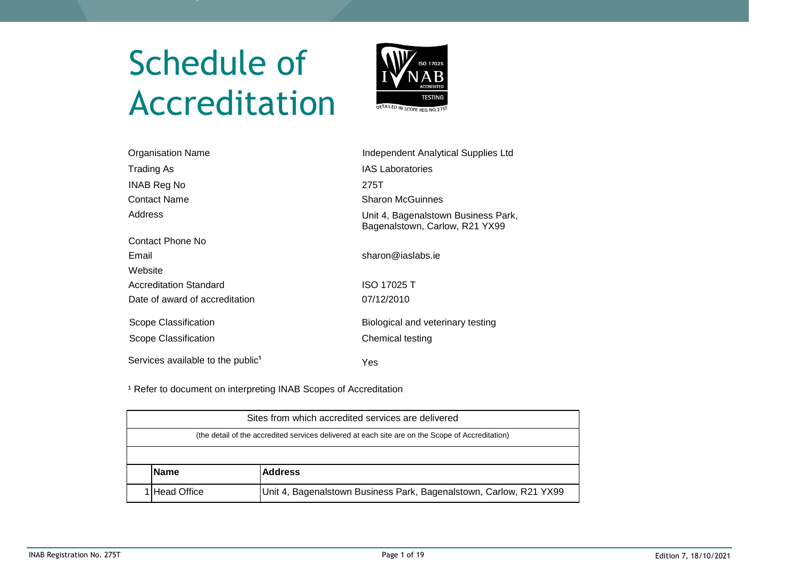# Schedule of Accreditation



| Organisation Name                             | <b>Independent Analytical Supplies Ltd</b>                            |
|-----------------------------------------------|-----------------------------------------------------------------------|
| Trading As                                    | <b>IAS Laboratories</b>                                               |
| INAB Reg No                                   | 275T                                                                  |
| <b>Contact Name</b>                           | <b>Sharon McGuinnes</b>                                               |
| Address                                       | Unit 4, Bagenalstown Business Park,<br>Bagenalstown, Carlow, R21 YX99 |
| Contact Phone No                              |                                                                       |
| Email                                         | sharon@iaslabs.ie                                                     |
| Website                                       |                                                                       |
| Accreditation Standard                        | <b>ISO 17025 T</b>                                                    |
| Date of award of accreditation                | 07/12/2010                                                            |
| Scope Classification                          | Biological and veterinary testing                                     |
| Scope Classification                          | Chemical testing                                                      |
| Services available to the public <sup>1</sup> | Yes                                                                   |

<sup>1</sup> Refer to document on interpreting INAB Scopes of Accreditation

| Sites from which accredited services are delivered                                               |                                                                    |  |  |  |  |  |
|--------------------------------------------------------------------------------------------------|--------------------------------------------------------------------|--|--|--|--|--|
| (the detail of the accredited services delivered at each site are on the Scope of Accreditation) |                                                                    |  |  |  |  |  |
|                                                                                                  |                                                                    |  |  |  |  |  |
| <b>Name</b>                                                                                      | <b>Address</b>                                                     |  |  |  |  |  |
| <b>IHead Office</b>                                                                              | Unit 4, Bagenalstown Business Park, Bagenalstown, Carlow, R21 YX99 |  |  |  |  |  |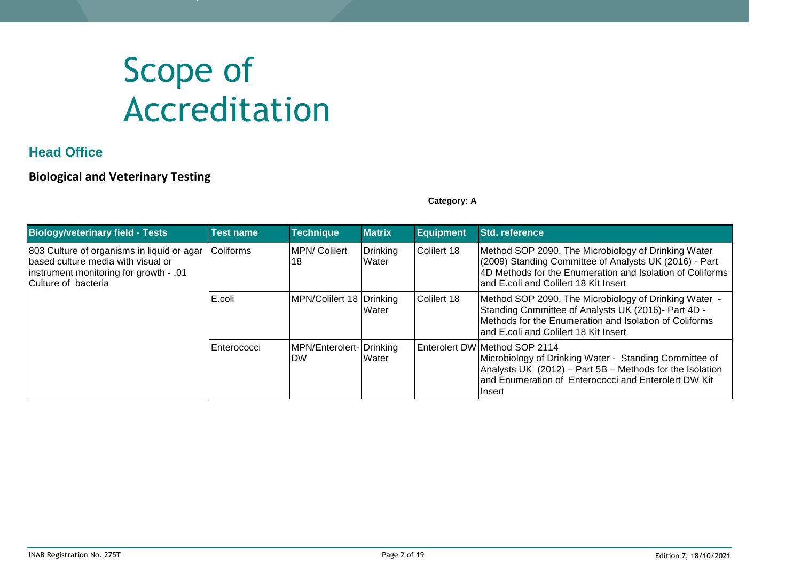# Scope of Accreditation

### **Head Office**

#### **Biological and Veterinary Testing**

**Category: A**

| <b>Biology/veterinary field - Tests</b>                                                                                                            | <b>Test name</b> | <b>Technique</b>                      | <b>Matrix</b>     | <b>Equipment</b> | <b>Std. reference</b>                                                                                                                                                                                                  |
|----------------------------------------------------------------------------------------------------------------------------------------------------|------------------|---------------------------------------|-------------------|------------------|------------------------------------------------------------------------------------------------------------------------------------------------------------------------------------------------------------------------|
| 803 Culture of organisms in liquid or agar<br>based culture media with visual or<br>linstrument monitoring for growth - .01<br>Culture of bacteria | <b>Coliforms</b> | <b>MPN/ Colilert</b><br>18            | Drinking<br>Water | Colilert 18      | Method SOP 2090, The Microbiology of Drinking Water<br>(2009) Standing Committee of Analysts UK (2016) - Part<br>4D Methods for the Enumeration and Isolation of Coliforms<br>land E.coli and Colilert 18 Kit Insert   |
|                                                                                                                                                    | E.coli           | MPN/Colilert 18 Drinking              | Water             | Colilert 18      | Method SOP 2090, The Microbiology of Drinking Water -<br>Standing Committee of Analysts UK (2016)- Part 4D -<br>Methods for the Enumeration and Isolation of Coliforms<br>land E.coli and Colilert 18 Kit Insert       |
|                                                                                                                                                    | Enterococci      | MPN/Enterolert- Drinking<br><b>DW</b> | Water             |                  | Enterolert DW Method SOP 2114<br>Microbiology of Drinking Water - Standing Committee of<br>Analysts UK (2012) - Part 5B - Methods for the Isolation<br>and Enumeration of Enterococci and Enterolert DW Kit<br>Ilnsert |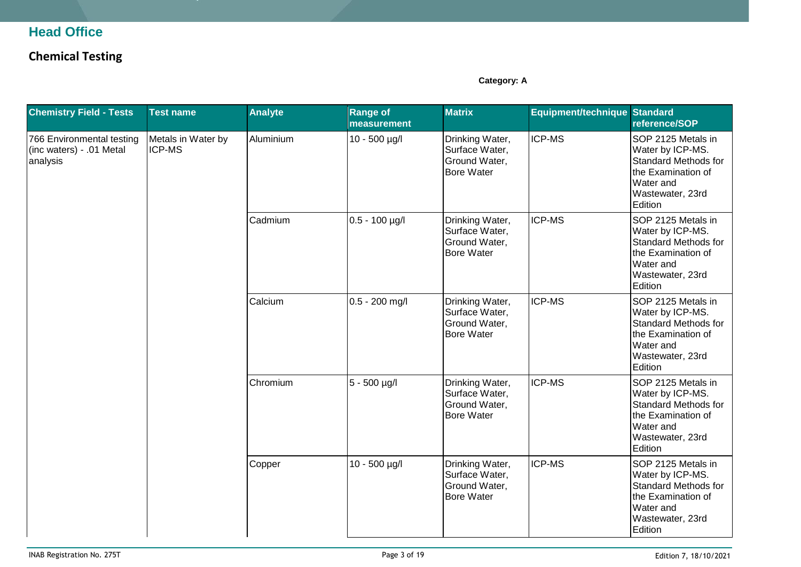### **Head Office**

## **Chemical Testing**

**Category: A**

| <b>Chemistry Field - Tests</b>                                    | <b>Test name</b>                    | <b>Analyte</b> | <b>Range of</b><br>measurement | <b>Matrix</b>                                                           | Equipment/technique Standard                                                   | reference/SOP                                                                                                                           |
|-------------------------------------------------------------------|-------------------------------------|----------------|--------------------------------|-------------------------------------------------------------------------|--------------------------------------------------------------------------------|-----------------------------------------------------------------------------------------------------------------------------------------|
| 766 Environmental testing<br>(inc waters) - .01 Metal<br>analysis | Metals in Water by<br><b>ICP-MS</b> | Aluminium      | 10 - 500 µg/l                  | Drinking Water,<br>Surface Water,<br>Ground Water,<br><b>Bore Water</b> | <b>ICP-MS</b>                                                                  | SOP 2125 Metals in<br>Water by ICP-MS.<br><b>Standard Methods for</b><br>the Examination of<br>Water and<br>Wastewater, 23rd<br>Edition |
|                                                                   |                                     | Cadmium        | $0.5 - 100$ µg/l               | Drinking Water,<br>Surface Water,<br>Ground Water,<br><b>Bore Water</b> | ICP-MS                                                                         | SOP 2125 Metals in<br>Water by ICP-MS.<br><b>Standard Methods for</b><br>the Examination of<br>Water and<br>Wastewater, 23rd<br>Edition |
|                                                                   |                                     | Calcium        | $0.5 - 200$ mg/l               | Drinking Water,<br>Surface Water,<br>Ground Water,<br><b>Bore Water</b> | ICP-MS                                                                         | SOP 2125 Metals in<br>Water by ICP-MS.<br><b>Standard Methods for</b><br>the Examination of<br>Water and<br>Wastewater, 23rd<br>Edition |
|                                                                   |                                     | Chromium       | $5 - 500$ µg/l                 | Drinking Water,<br>Surface Water,<br>Ground Water,<br><b>Bore Water</b> | ICP-MS                                                                         | SOP 2125 Metals in<br>Water by ICP-MS.<br><b>Standard Methods for</b><br>the Examination of<br>Water and<br>Wastewater, 23rd<br>Edition |
|                                                                   |                                     |                | Copper                         | 10 - 500 µg/l                                                           | Drinking Water,<br>Surface Water,<br><b>Ground Water,</b><br><b>Bore Water</b> | ICP-MS                                                                                                                                  |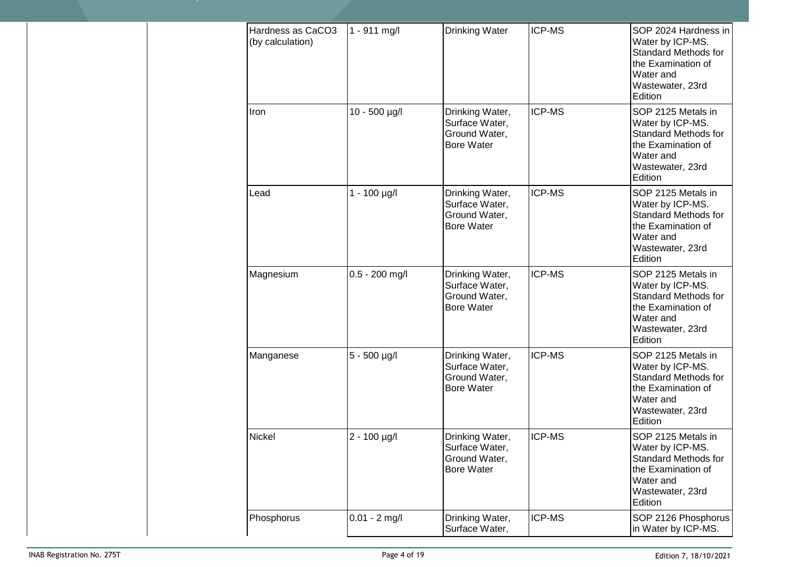| Hardness as CaCO3<br>(by calculation) | 1 - 911 mg/l     | <b>Drinking Water</b>                                                   | <b>ICP-MS</b> | SOP 2024 Hardness in<br>Water by ICP-MS.<br><b>Standard Methods for</b><br>the Examination of<br>Water and<br>Wastewater, 23rd<br>Edition |
|---------------------------------------|------------------|-------------------------------------------------------------------------|---------------|-------------------------------------------------------------------------------------------------------------------------------------------|
| Iron                                  | 10 - 500 µg/l    | Drinking Water,<br>Surface Water,<br>Ground Water,<br><b>Bore Water</b> | <b>ICP-MS</b> | SOP 2125 Metals in<br>Water by ICP-MS.<br><b>Standard Methods for</b><br>the Examination of<br>Water and<br>Wastewater, 23rd<br>Edition   |
| Lead                                  | $1 - 100$ µg/l   | Drinking Water,<br>Surface Water,<br>Ground Water,<br><b>Bore Water</b> | <b>ICP-MS</b> | SOP 2125 Metals in<br>Water by ICP-MS.<br><b>Standard Methods for</b><br>the Examination of<br>Water and<br>Wastewater, 23rd<br>Edition   |
| Magnesium                             | $0.5 - 200$ mg/l | Drinking Water,<br>Surface Water,<br>Ground Water,<br><b>Bore Water</b> | ICP-MS        | SOP 2125 Metals in<br>Water by ICP-MS.<br><b>Standard Methods for</b><br>the Examination of<br>Water and<br>Wastewater, 23rd<br>Edition   |
| Manganese                             | 5 - 500 µg/l     | Drinking Water,<br>Surface Water,<br>Ground Water,<br><b>Bore Water</b> | ICP-MS        | SOP 2125 Metals in<br>Water by ICP-MS.<br><b>Standard Methods for</b><br>the Examination of<br>Water and<br>Wastewater, 23rd<br>Edition   |
| Nickel                                | 2 - 100 µg/l     | Drinking Water,<br>Surface Water,<br>Ground Water,<br><b>Bore Water</b> | ICP-MS        | SOP 2125 Metals in<br>Water by ICP-MS.<br><b>Standard Methods for</b><br>the Examination of<br>Water and<br>Wastewater, 23rd<br>Edition   |
| Phosphorus                            | $0.01 - 2$ mg/l  | Drinking Water,<br>Surface Water,                                       | ICP-MS        | SOP 2126 Phosphorus<br>in Water by ICP-MS.                                                                                                |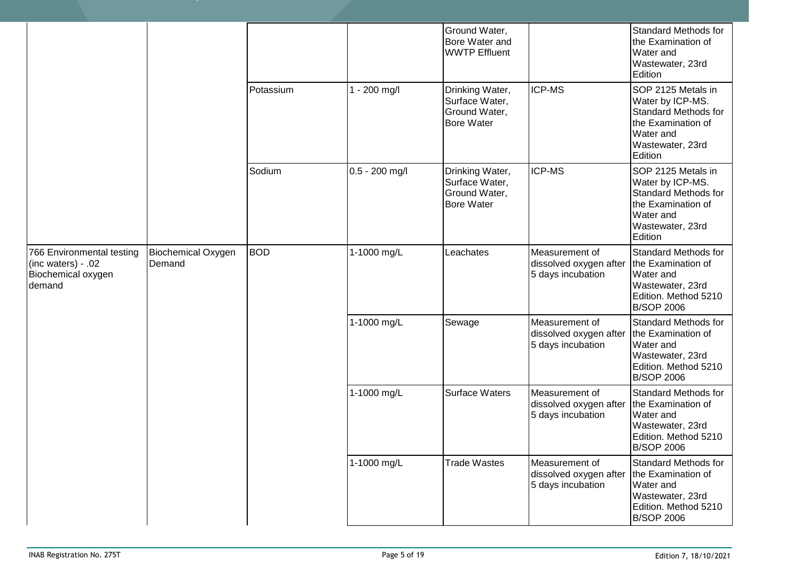|                                                                                 |                                     |            |                | Ground Water,<br>Bore Water and<br><b>WWTP Effluent</b>                 |                                                               | <b>Standard Methods for</b><br>the Examination of<br>Water and<br>Wastewater, 23rd<br>Edition                                           |
|---------------------------------------------------------------------------------|-------------------------------------|------------|----------------|-------------------------------------------------------------------------|---------------------------------------------------------------|-----------------------------------------------------------------------------------------------------------------------------------------|
|                                                                                 |                                     | Potassium  | - 200 mg/l     | Drinking Water,<br>Surface Water,<br>Ground Water,<br><b>Bore Water</b> | <b>ICP-MS</b>                                                 | SOP 2125 Metals in<br>Water by ICP-MS.<br><b>Standard Methods for</b><br>the Examination of<br>Water and<br>Wastewater, 23rd<br>Edition |
|                                                                                 |                                     | Sodium     | 0.5 - 200 mg/l | Drinking Water,<br>Surface Water,<br>Ground Water,<br><b>Bore Water</b> | <b>ICP-MS</b>                                                 | SOP 2125 Metals in<br>Water by ICP-MS.<br><b>Standard Methods for</b><br>the Examination of<br>Water and<br>Wastewater, 23rd<br>Edition |
| 766 Environmental testing<br>(inc waters) - .02<br>Biochemical oxygen<br>demand | <b>Biochemical Oxygen</b><br>Demand | <b>BOD</b> | 1-1000 mg/L    | Leachates                                                               | Measurement of<br>dissolved oxygen after<br>5 days incubation | <b>Standard Methods for</b><br>the Examination of<br>Water and<br>Wastewater, 23rd<br>Edition. Method 5210<br><b>B/SOP 2006</b>         |
|                                                                                 |                                     |            | 1-1000 mg/L    | Sewage                                                                  | Measurement of<br>dissolved oxygen after<br>5 days incubation | <b>Standard Methods for</b><br>the Examination of<br>Water and<br>Wastewater, 23rd<br>Edition. Method 5210<br><b>B/SOP 2006</b>         |
|                                                                                 |                                     |            | 1-1000 mg/L    | <b>Surface Waters</b>                                                   | Measurement of<br>dissolved oxygen after<br>5 days incubation | <b>Standard Methods for</b><br>the Examination of<br>Water and<br>Wastewater, 23rd<br>Edition. Method 5210<br><b>B/SOP 2006</b>         |
|                                                                                 |                                     |            | 1-1000 mg/L    | <b>Trade Wastes</b>                                                     | Measurement of<br>dissolved oxygen after<br>5 days incubation | Standard Methods for<br>the Examination of<br>Water and<br>Wastewater, 23rd<br>Edition. Method 5210<br><b>B/SOP 2006</b>                |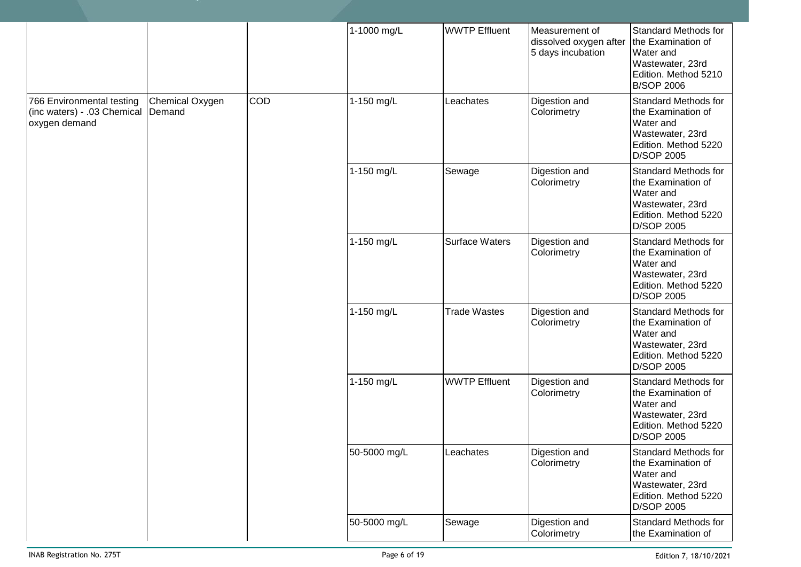|                                                                           |                           |            | 1-1000 mg/L  | <b>WWTP Effluent</b>  | Measurement of<br>dissolved oxygen after<br>5 days incubation | <b>Standard Methods for</b><br>the Examination of<br>Water and<br>Wastewater, 23rd<br>Edition. Method 5210<br><b>B/SOP 2006</b> |
|---------------------------------------------------------------------------|---------------------------|------------|--------------|-----------------------|---------------------------------------------------------------|---------------------------------------------------------------------------------------------------------------------------------|
| 766 Environmental testing<br>(inc waters) - .03 Chemical<br>oxygen demand | Chemical Oxygen<br>Demand | <b>COD</b> | 1-150 mg/L   | Leachates             | Digestion and<br>Colorimetry                                  | <b>Standard Methods for</b><br>the Examination of<br>Water and<br>Wastewater, 23rd<br>Edition. Method 5220<br>D/SOP 2005        |
|                                                                           |                           |            | 1-150 mg/L   | Sewage                | Digestion and<br>Colorimetry                                  | Standard Methods for<br>the Examination of<br>Water and<br>Wastewater, 23rd<br>Edition. Method 5220<br>D/SOP 2005               |
|                                                                           |                           |            | 1-150 mg/L   | <b>Surface Waters</b> | Digestion and<br>Colorimetry                                  | <b>Standard Methods for</b><br>the Examination of<br>Water and<br>Wastewater, 23rd<br>Edition. Method 5220<br>D/SOP 2005        |
|                                                                           |                           |            | 1-150 mg/L   | <b>Trade Wastes</b>   | Digestion and<br>Colorimetry                                  | Standard Methods for<br>the Examination of<br>Water and<br>Wastewater, 23rd<br>Edition. Method 5220<br>D/SOP 2005               |
|                                                                           |                           |            | 1-150 mg/L   | <b>WWTP Effluent</b>  | Digestion and<br>Colorimetry                                  | Standard Methods for<br>the Examination of<br>Water and<br>Wastewater, 23rd<br>Edition. Method 5220<br>D/SOP 2005               |
|                                                                           |                           |            | 50-5000 mg/L | Leachates             | Digestion and<br>Colorimetry                                  | <b>Standard Methods for</b><br>the Examination of<br>Water and<br>Wastewater, 23rd<br>Edition. Method 5220<br>D/SOP 2005        |
|                                                                           |                           |            | 50-5000 mg/L | Sewage                | Digestion and<br>Colorimetry                                  | Standard Methods for<br>the Examination of                                                                                      |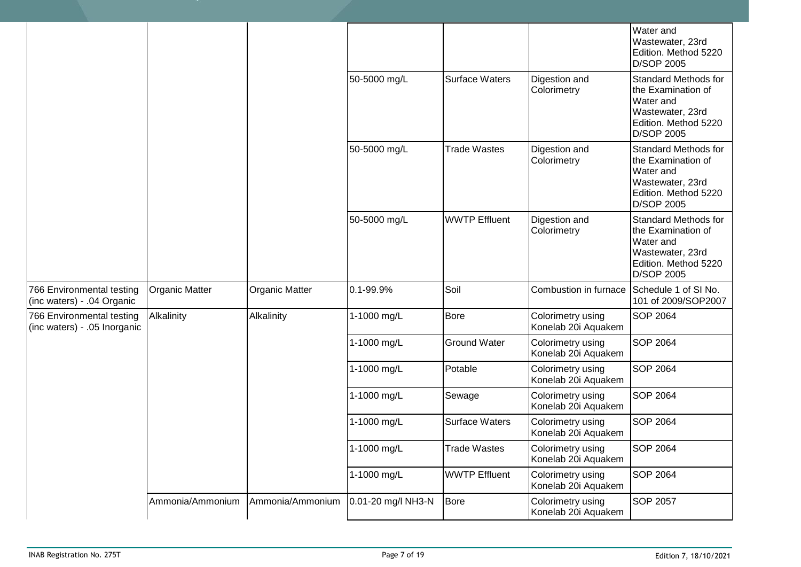|                                                           |                  |                       |                     |                              |                                                                                                                          | Water and<br>Wastewater, 23rd<br>Edition. Method 5220<br>D/SOP 2005                                                             |
|-----------------------------------------------------------|------------------|-----------------------|---------------------|------------------------------|--------------------------------------------------------------------------------------------------------------------------|---------------------------------------------------------------------------------------------------------------------------------|
|                                                           |                  |                       | 50-5000 mg/L        | <b>Surface Waters</b>        | Digestion and<br>Colorimetry                                                                                             | <b>Standard Methods for</b><br>the Examination of<br>Water and<br>Wastewater, 23rd<br>Edition. Method 5220<br><b>D/SOP 2005</b> |
|                                                           |                  | 50-5000 mg/L          | <b>Trade Wastes</b> | Digestion and<br>Colorimetry | <b>Standard Methods for</b><br>the Examination of<br>Water and<br>Wastewater, 23rd<br>Edition. Method 5220<br>D/SOP 2005 |                                                                                                                                 |
|                                                           |                  |                       | 50-5000 mg/L        | <b>WWTP Effluent</b>         | Digestion and<br>Colorimetry                                                                                             | <b>Standard Methods for</b><br>the Examination of<br>Water and<br>Wastewater, 23rd<br>Edition. Method 5220<br>D/SOP 2005        |
| 766 Environmental testing<br>(inc waters) - .04 Organic   | Organic Matter   | <b>Organic Matter</b> | 0.1-99.9%           | Soil                         | Combustion in furnace                                                                                                    | Schedule 1 of SI No.<br>101 of 2009/SOP2007                                                                                     |
| 766 Environmental testing<br>(inc waters) - .05 Inorganic | Alkalinity       | Alkalinity            | 1-1000 mg/L         | <b>Bore</b>                  | Colorimetry using<br>Konelab 20i Aquakem                                                                                 | <b>SOP 2064</b>                                                                                                                 |
|                                                           |                  |                       | 1-1000 mg/L         | <b>Ground Water</b>          | Colorimetry using<br>Konelab 20i Aquakem                                                                                 | <b>SOP 2064</b>                                                                                                                 |
|                                                           |                  |                       | 1-1000 mg/L         | Potable                      | Colorimetry using<br>Konelab 20i Aquakem                                                                                 | <b>SOP 2064</b>                                                                                                                 |
|                                                           |                  |                       | 1-1000 mg/L         | Sewage                       | Colorimetry using<br>Konelab 20i Aquakem                                                                                 | <b>SOP 2064</b>                                                                                                                 |
|                                                           |                  |                       | 1-1000 mg/L         | Surface Waters               | Colorimetry using<br>Konelab 20i Aquakem                                                                                 | <b>SOP 2064</b>                                                                                                                 |
|                                                           |                  |                       | 1-1000 mg/L         | <b>Trade Wastes</b>          | Colorimetry using<br>Konelab 20i Aquakem                                                                                 | <b>SOP 2064</b>                                                                                                                 |
|                                                           |                  |                       | 1-1000 mg/L         | <b>WWTP Effluent</b>         | Colorimetry using<br>Konelab 20i Aquakem                                                                                 | <b>SOP 2064</b>                                                                                                                 |
|                                                           | Ammonia/Ammonium | Ammonia/Ammonium      | 0.01-20 mg/l NH3-N  | Bore                         | Colorimetry using<br>Konelab 20i Aquakem                                                                                 | <b>SOP 2057</b>                                                                                                                 |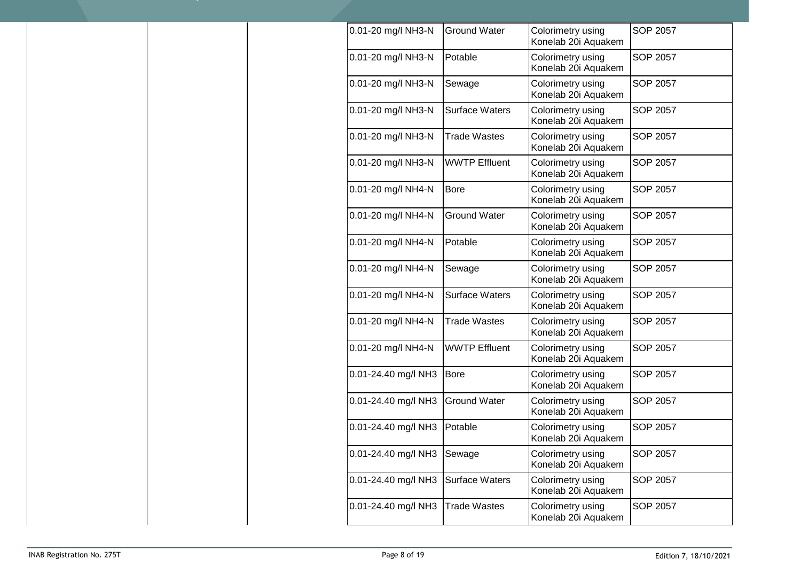| 0.01-20 mg/l NH3-N  | <b>Ground Water</b>   | Colorimetry using<br>Konelab 20i Aquakem | <b>SOP 2057</b> |
|---------------------|-----------------------|------------------------------------------|-----------------|
| 0.01-20 mg/l NH3-N  | Potable               | Colorimetry using<br>Konelab 20i Aquakem | <b>SOP 2057</b> |
| 0.01-20 mg/l NH3-N  | Sewage                | Colorimetry using<br>Konelab 20i Aquakem | SOP 2057        |
| 0.01-20 mg/l NH3-N  | <b>Surface Waters</b> | Colorimetry using<br>Konelab 20i Aquakem | SOP 2057        |
| 0.01-20 mg/l NH3-N  | <b>Trade Wastes</b>   | Colorimetry using<br>Konelab 20i Aquakem | SOP 2057        |
| 0.01-20 mg/l NH3-N  | <b>WWTP Effluent</b>  | Colorimetry using<br>Konelab 20i Aquakem | SOP 2057        |
| 0.01-20 mg/l NH4-N  | <b>Bore</b>           | Colorimetry using<br>Konelab 20i Aquakem | <b>SOP 2057</b> |
| 0.01-20 mg/l NH4-N  | <b>Ground Water</b>   | Colorimetry using<br>Konelab 20i Aquakem | SOP 2057        |
| 0.01-20 mg/l NH4-N  | Potable               | Colorimetry using<br>Konelab 20i Aquakem | <b>SOP 2057</b> |
| 0.01-20 mg/l NH4-N  | Sewage                | Colorimetry using<br>Konelab 20i Aquakem | <b>SOP 2057</b> |
| 0.01-20 mg/l NH4-N  | <b>Surface Waters</b> | Colorimetry using<br>Konelab 20i Aquakem | SOP 2057        |
| 0.01-20 mg/l NH4-N  | <b>Trade Wastes</b>   | Colorimetry using<br>Konelab 20i Aquakem | SOP 2057        |
| 0.01-20 mg/l NH4-N  | <b>WWTP Effluent</b>  | Colorimetry using<br>Konelab 20i Aquakem | SOP 2057        |
| 0.01-24.40 mg/l NH3 | <b>Bore</b>           | Colorimetry using<br>Konelab 20i Aquakem | SOP 2057        |
| 0.01-24.40 mg/l NH3 | <b>Ground Water</b>   | Colorimetry using<br>Konelab 20i Aquakem | <b>SOP 2057</b> |
| 0.01-24.40 mg/l NH3 | Potable               | Colorimetry using<br>Konelab 20i Aquakem | SOP 2057        |
| 0.01-24.40 mg/l NH3 | Sewage                | Colorimetry using<br>Konelab 20i Aquakem | SOP 2057        |
| 0.01-24.40 mg/l NH3 | <b>Surface Waters</b> | Colorimetry using<br>Konelab 20i Aquakem | SOP 2057        |
| 0.01-24.40 mg/l NH3 | <b>Trade Wastes</b>   | Colorimetry using<br>Konelab 20i Aquakem | SOP 2057        |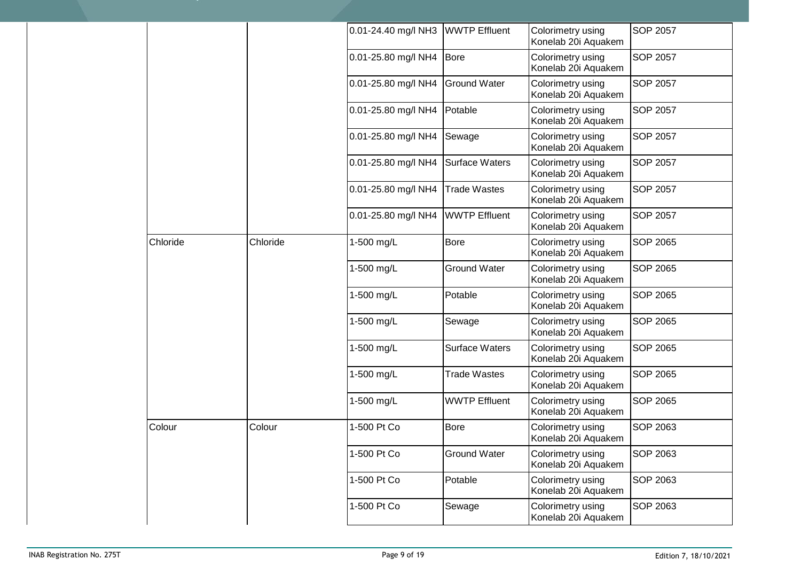|          |          | 0.01-24.40 mg/l NH3 | <b>WWTP Effluent</b>  | Colorimetry using<br>Konelab 20i Aquakem | <b>SOP 2057</b> |
|----------|----------|---------------------|-----------------------|------------------------------------------|-----------------|
|          |          | 0.01-25.80 mg/l NH4 | <b>Bore</b>           | Colorimetry using<br>Konelab 20i Aquakem | <b>SOP 2057</b> |
|          |          | 0.01-25.80 mg/l NH4 | <b>Ground Water</b>   | Colorimetry using<br>Konelab 20i Aquakem | SOP 2057        |
|          |          | 0.01-25.80 mg/l NH4 | Potable               | Colorimetry using<br>Konelab 20i Aquakem | <b>SOP 2057</b> |
|          |          | 0.01-25.80 mg/l NH4 | Sewage                | Colorimetry using<br>Konelab 20i Aquakem | <b>SOP 2057</b> |
|          |          | 0.01-25.80 mg/l NH4 | <b>Surface Waters</b> | Colorimetry using<br>Konelab 20i Aquakem | <b>SOP 2057</b> |
|          |          | 0.01-25.80 mg/l NH4 | <b>Trade Wastes</b>   | Colorimetry using<br>Konelab 20i Aquakem | <b>SOP 2057</b> |
|          |          | 0.01-25.80 mg/l NH4 | <b>WWTP Effluent</b>  | Colorimetry using<br>Konelab 20i Aquakem | <b>SOP 2057</b> |
| Chloride | Chloride | 1-500 mg/L          | <b>Bore</b>           | Colorimetry using<br>Konelab 20i Aquakem | <b>SOP 2065</b> |
|          |          | 1-500 mg/L          | <b>Ground Water</b>   | Colorimetry using<br>Konelab 20i Aquakem | <b>SOP 2065</b> |
|          |          | 1-500 mg/L          | Potable               | Colorimetry using<br>Konelab 20i Aquakem | SOP 2065        |
|          |          | 1-500 mg/L          | Sewage                | Colorimetry using<br>Konelab 20i Aquakem | <b>SOP 2065</b> |
|          |          | 1-500 mg/L          | <b>Surface Waters</b> | Colorimetry using<br>Konelab 20i Aquakem | <b>SOP 2065</b> |
|          |          | 1-500 mg/L          | <b>Trade Wastes</b>   | Colorimetry using<br>Konelab 20i Aquakem | SOP 2065        |
|          |          | 1-500 mg/L          | <b>WWTP Effluent</b>  | Colorimetry using<br>Konelab 20i Aquakem | <b>SOP 2065</b> |
| Colour   | Colour   | 1-500 Pt Co         | <b>Bore</b>           | Colorimetry using<br>Konelab 20i Aquakem | <b>SOP 2063</b> |
|          |          | 1-500 Pt Co         | <b>Ground Water</b>   | Colorimetry using<br>Konelab 20i Aquakem | <b>SOP 2063</b> |
|          |          | 1-500 Pt Co         | Potable               | Colorimetry using<br>Konelab 20i Aquakem | SOP 2063        |
|          |          | 1-500 Pt Co         | Sewage                | Colorimetry using<br>Konelab 20i Aquakem | SOP 2063        |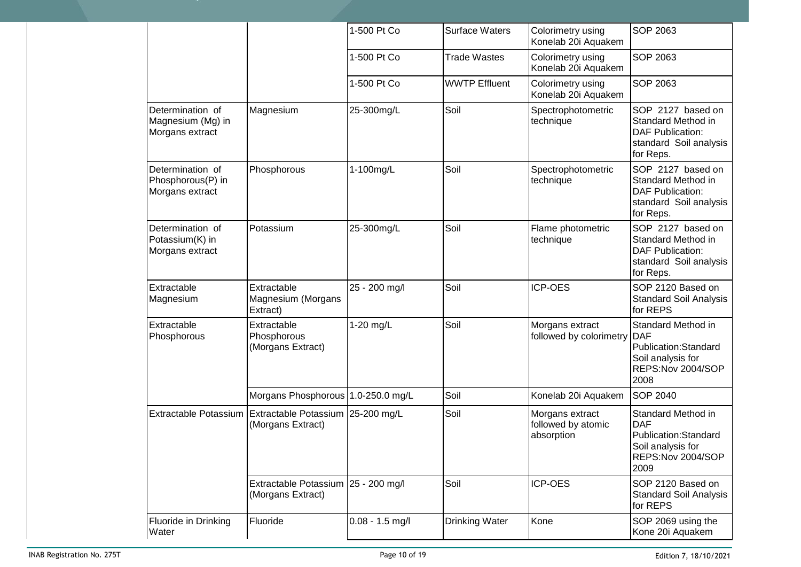|                                                          |                                                          | 1-500 Pt Co       | <b>Surface Waters</b> | Colorimetry using<br>Konelab 20i Aquakem            | SOP 2063                                                                                                   |
|----------------------------------------------------------|----------------------------------------------------------|-------------------|-----------------------|-----------------------------------------------------|------------------------------------------------------------------------------------------------------------|
|                                                          |                                                          | 1-500 Pt Co       | <b>Trade Wastes</b>   | Colorimetry using<br>Konelab 20i Aquakem            | SOP 2063                                                                                                   |
|                                                          |                                                          | 1-500 Pt Co       | <b>WWTP Effluent</b>  | Colorimetry using<br>Konelab 20i Aquakem            | <b>SOP 2063</b>                                                                                            |
| Determination of<br>Magnesium (Mg) in<br>Morgans extract | Magnesium                                                | 25-300mg/L        | Soil                  | Spectrophotometric<br>technique                     | SOP 2127 based on<br>Standard Method in<br><b>DAF Publication:</b><br>standard Soil analysis<br>for Reps.  |
| Determination of<br>Phosphorous(P) in<br>Morgans extract | Phosphorous                                              | 1-100mg/L         | Soil                  | Spectrophotometric<br>technique                     | SOP 2127 based on<br>Standard Method in<br><b>DAF Publication:</b><br>standard Soil analysis<br>for Reps.  |
| Determination of<br>Potassium(K) in<br>Morgans extract   | Potassium                                                | 25-300mg/L        | Soil                  | Flame photometric<br>technique                      | SOP 2127 based on<br>Standard Method in<br><b>DAF Publication:</b><br>standard Soil analysis<br>for Reps.  |
| Extractable<br>Magnesium                                 | Extractable<br>Magnesium (Morgans<br>Extract)            | 25 - 200 mg/l     | Soil                  | ICP-OES                                             | SOP 2120 Based on<br><b>Standard Soil Analysis</b><br>for REPS                                             |
| Extractable<br>Phosphorous                               | Extractable<br>Phosphorous<br>(Morgans Extract)          | 1-20 mg/L         | Soil                  | Morgans extract<br>followed by colorimetry          | Standard Method in<br><b>DAF</b><br>Publication:Standard<br>Soil analysis for<br>REPS:Nov 2004/SOP<br>2008 |
|                                                          | Morgans Phosphorous 1.0-250.0 mg/L                       |                   | Soil                  | Konelab 20i Aquakem                                 | <b>SOP 2040</b>                                                                                            |
| Extractable Potassium                                    | Extractable Potassium 25-200 mg/L<br>(Morgans Extract)   |                   | Soil                  | Morgans extract<br>followed by atomic<br>absorption | Standard Method in<br><b>DAF</b><br>Publication:Standard<br>Soil analysis for<br>REPS:Nov 2004/SOP<br>2009 |
|                                                          | Extractable Potassium 25 - 200 mg/l<br>(Morgans Extract) |                   | Soil                  | ICP-OES                                             | SOP 2120 Based on<br><b>Standard Soil Analysis</b><br>for REPS                                             |
| Fluoride in Drinking<br>Water                            | Fluoride                                                 | $0.08 - 1.5$ mg/l | Drinking Water        | Kone                                                | SOP 2069 using the<br>Kone 20i Aquakem                                                                     |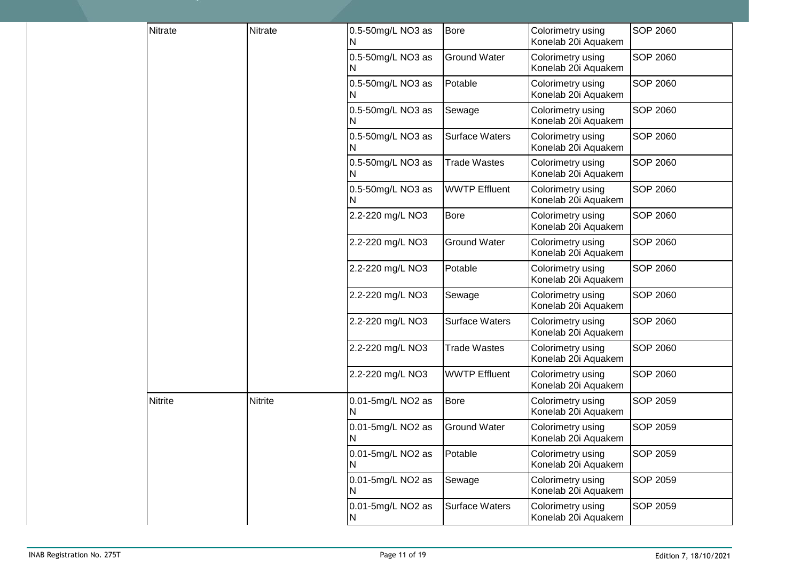| Nitrate        | Nitrate        | 0.5-50mg/L NO3 as<br>N  | <b>Bore</b>           | Colorimetry using<br>Konelab 20i Aquakem | <b>SOP 2060</b> |
|----------------|----------------|-------------------------|-----------------------|------------------------------------------|-----------------|
|                |                | 0.5-50mg/L NO3 as<br>N. | <b>Ground Water</b>   | Colorimetry using<br>Konelab 20i Aquakem | <b>SOP 2060</b> |
|                |                | 0.5-50mg/L NO3 as       | Potable               | Colorimetry using<br>Konelab 20i Aquakem | <b>SOP 2060</b> |
|                |                | 0.5-50mg/L NO3 as       | Sewage                | Colorimetry using<br>Konelab 20i Aquakem | <b>SOP 2060</b> |
|                |                | 0.5-50mg/L NO3 as<br>N  | <b>Surface Waters</b> | Colorimetry using<br>Konelab 20i Aquakem | <b>SOP 2060</b> |
|                |                | 0.5-50mg/L NO3 as       | <b>Trade Wastes</b>   | Colorimetry using<br>Konelab 20i Aquakem | <b>SOP 2060</b> |
|                |                | 0.5-50mg/L NO3 as       | <b>WWTP Effluent</b>  | Colorimetry using<br>Konelab 20i Aquakem | <b>SOP 2060</b> |
|                |                | 2.2-220 mg/L NO3        | <b>Bore</b>           | Colorimetry using<br>Konelab 20i Aquakem | <b>SOP 2060</b> |
|                |                | 2.2-220 mg/L NO3        | <b>Ground Water</b>   | Colorimetry using<br>Konelab 20i Aquakem | <b>SOP 2060</b> |
|                |                | 2.2-220 mg/L NO3        | Potable               | Colorimetry using<br>Konelab 20i Aquakem | <b>SOP 2060</b> |
|                |                | 2.2-220 mg/L NO3        | Sewage                | Colorimetry using<br>Konelab 20i Aquakem | <b>SOP 2060</b> |
|                |                | 2.2-220 mg/L NO3        | <b>Surface Waters</b> | Colorimetry using<br>Konelab 20i Aquakem | <b>SOP 2060</b> |
|                |                | 2.2-220 mg/L NO3        | <b>Trade Wastes</b>   | Colorimetry using<br>Konelab 20i Aquakem | <b>SOP 2060</b> |
|                |                | 2.2-220 mg/L NO3        | <b>WWTP Effluent</b>  | Colorimetry using<br>Konelab 20i Aquakem | <b>SOP 2060</b> |
| <b>Nitrite</b> | <b>Nitrite</b> | 0.01-5mg/L NO2 as<br>N  | <b>Bore</b>           | Colorimetry using<br>Konelab 20i Aquakem | <b>SOP 2059</b> |
|                |                | 0.01-5mg/L NO2 as<br>N  | <b>Ground Water</b>   | Colorimetry using<br>Konelab 20i Aquakem | <b>SOP 2059</b> |
|                |                | 0.01-5mg/L NO2 as<br>N  | Potable               | Colorimetry using<br>Konelab 20i Aquakem | <b>SOP 2059</b> |
|                |                | 0.01-5mg/L NO2 as       | Sewage                | Colorimetry using<br>Konelab 20i Aquakem | <b>SOP 2059</b> |
|                |                | 0.01-5mg/L NO2 as<br>N  | <b>Surface Waters</b> | Colorimetry using<br>Konelab 20i Aquakem | <b>SOP 2059</b> |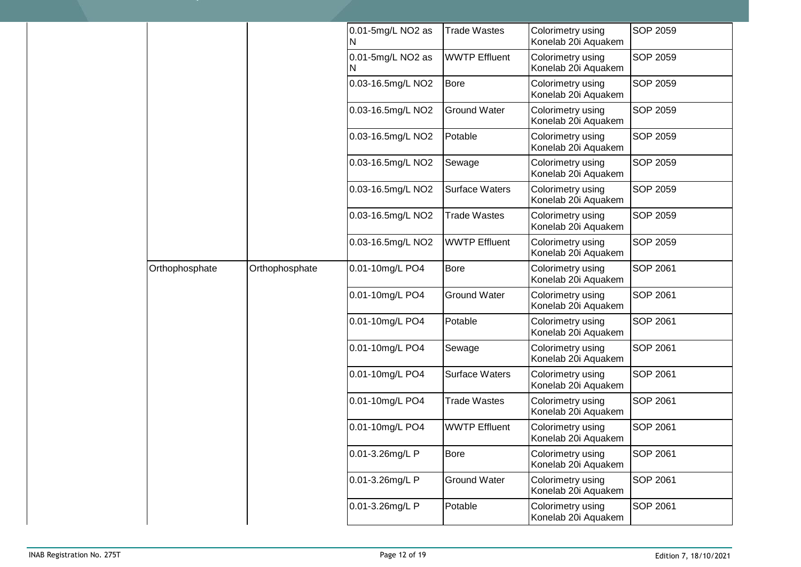|  |                |                | 0.01-5mg/L NO2 as<br>N | <b>Trade Wastes</b>   | Colorimetry using<br>Konelab 20i Aquakem | <b>SOP 2059</b> |
|--|----------------|----------------|------------------------|-----------------------|------------------------------------------|-----------------|
|  |                |                | 0.01-5mg/L NO2 as<br>N | <b>WWTP Effluent</b>  | Colorimetry using<br>Konelab 20i Aquakem | <b>SOP 2059</b> |
|  |                |                | 0.03-16.5mg/L NO2      | <b>Bore</b>           | Colorimetry using<br>Konelab 20i Aquakem | <b>SOP 2059</b> |
|  |                |                | 0.03-16.5mg/L NO2      | <b>Ground Water</b>   | Colorimetry using<br>Konelab 20i Aquakem | <b>SOP 2059</b> |
|  |                |                | 0.03-16.5mg/L NO2      | Potable               | Colorimetry using<br>Konelab 20i Aquakem | <b>SOP 2059</b> |
|  |                |                | 0.03-16.5mg/L NO2      | Sewage                | Colorimetry using<br>Konelab 20i Aquakem | <b>SOP 2059</b> |
|  |                |                | 0.03-16.5mg/L NO2      | <b>Surface Waters</b> | Colorimetry using<br>Konelab 20i Aquakem | <b>SOP 2059</b> |
|  |                |                | 0.03-16.5mg/L NO2      | <b>Trade Wastes</b>   | Colorimetry using<br>Konelab 20i Aquakem | <b>SOP 2059</b> |
|  |                |                | 0.03-16.5mg/L NO2      | <b>WWTP Effluent</b>  | Colorimetry using<br>Konelab 20i Aquakem | <b>SOP 2059</b> |
|  | Orthophosphate | Orthophosphate | 0.01-10mg/L PO4        | <b>Bore</b>           | Colorimetry using<br>Konelab 20i Aquakem | <b>SOP 2061</b> |
|  |                |                | 0.01-10mg/L PO4        | <b>Ground Water</b>   | Colorimetry using<br>Konelab 20i Aquakem | <b>SOP 2061</b> |
|  |                |                | 0.01-10mg/L PO4        | Potable               | Colorimetry using<br>Konelab 20i Aquakem | <b>SOP 2061</b> |
|  |                |                | 0.01-10mg/L PO4        | Sewage                | Colorimetry using<br>Konelab 20i Aquakem | <b>SOP 2061</b> |
|  |                |                | 0.01-10mg/L PO4        | <b>Surface Waters</b> | Colorimetry using<br>Konelab 20i Aquakem | <b>SOP 2061</b> |
|  |                |                | 0.01-10mg/L PO4        | <b>Trade Wastes</b>   | Colorimetry using<br>Konelab 20i Aquakem | SOP 2061        |
|  |                |                | 0.01-10mg/L PO4        | <b>WWTP Effluent</b>  | Colorimetry using<br>Konelab 20i Aquakem | SOP 2061        |
|  |                |                | 0.01-3.26mg/L P        | <b>Bore</b>           | Colorimetry using<br>Konelab 20i Aquakem | <b>SOP 2061</b> |
|  |                |                | 0.01-3.26mg/L P        | <b>Ground Water</b>   | Colorimetry using<br>Konelab 20i Aquakem | <b>SOP 2061</b> |
|  |                |                | 0.01-3.26mg/L P        | Potable               | Colorimetry using<br>Konelab 20i Aquakem | SOP 2061        |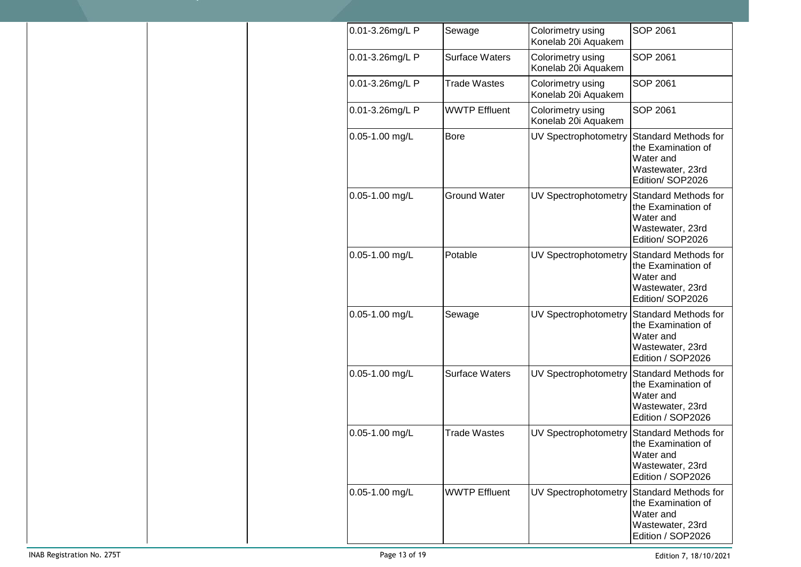| 0.01-3.26mg/L P    | Sewage                | Colorimetry using<br>Konelab 20i Aquakem | SOP 2061                                                                                                |
|--------------------|-----------------------|------------------------------------------|---------------------------------------------------------------------------------------------------------|
| 0.01-3.26mg/L P    | Surface Waters        | Colorimetry using<br>Konelab 20i Aquakem | SOP 2061                                                                                                |
| 0.01-3.26mg/L P    | <b>Trade Wastes</b>   | Colorimetry using<br>Konelab 20i Aquakem | SOP 2061                                                                                                |
| 0.01-3.26mg/L P    | <b>WWTP Effluent</b>  | Colorimetry using<br>Konelab 20i Aquakem | SOP 2061                                                                                                |
| $0.05 - 1.00$ mg/L | <b>Bore</b>           | UV Spectrophotometry                     | <b>Standard Methods for</b><br>the Examination of<br>Water and<br>Wastewater, 23rd<br>Edition/SOP2026   |
| 0.05-1.00 mg/L     | <b>Ground Water</b>   | UV Spectrophotometry                     | Standard Methods for<br>the Examination of<br>Water and<br>Wastewater, 23rd<br>Edition/SOP2026          |
| $0.05 - 1.00$ mg/L | Potable               | UV Spectrophotometry                     | <b>Standard Methods for</b><br>the Examination of<br>Water and<br>Wastewater, 23rd<br>Edition/SOP2026   |
| 0.05-1.00 mg/L     | Sewage                | UV Spectrophotometry                     | <b>Standard Methods for</b><br>the Examination of<br>Water and<br>Wastewater, 23rd<br>Edition / SOP2026 |
| 0.05-1.00 mg/L     | <b>Surface Waters</b> | UV Spectrophotometry                     | <b>Standard Methods for</b><br>the Examination of<br>Water and<br>Wastewater, 23rd<br>Edition / SOP2026 |
| 0.05-1.00 mg/L     | <b>Trade Wastes</b>   | UV Spectrophotometry                     | <b>Standard Methods for</b><br>the Examination of<br>Water and<br>Wastewater, 23rd<br>Edition / SOP2026 |
| 0.05-1.00 mg/L     | <b>WWTP Effluent</b>  | UV Spectrophotometry                     | <b>Standard Methods for</b><br>the Examination of<br>Water and<br>Wastewater, 23rd<br>Edition / SOP2026 |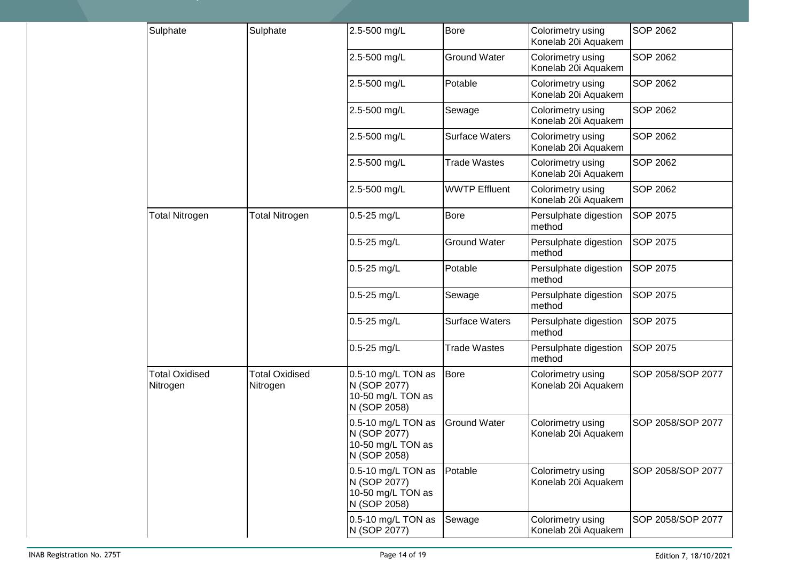| Sulphate                          | Sulphate                          | 2.5-500 mg/L                                                            | <b>Bore</b>           | Colorimetry using<br>Konelab 20i Aquakem | <b>SOP 2062</b>   |
|-----------------------------------|-----------------------------------|-------------------------------------------------------------------------|-----------------------|------------------------------------------|-------------------|
|                                   |                                   | 2.5-500 mg/L                                                            | <b>Ground Water</b>   | Colorimetry using<br>Konelab 20i Aquakem | <b>SOP 2062</b>   |
|                                   |                                   | 2.5-500 mg/L                                                            | Potable               | Colorimetry using<br>Konelab 20i Aquakem | <b>SOP 2062</b>   |
|                                   |                                   | 2.5-500 mg/L                                                            | Sewage                | Colorimetry using<br>Konelab 20i Aquakem | <b>SOP 2062</b>   |
|                                   |                                   | 2.5-500 mg/L                                                            | <b>Surface Waters</b> | Colorimetry using<br>Konelab 20i Aquakem | <b>SOP 2062</b>   |
|                                   |                                   | 2.5-500 mg/L                                                            | <b>Trade Wastes</b>   | Colorimetry using<br>Konelab 20i Aquakem | <b>SOP 2062</b>   |
|                                   |                                   | 2.5-500 mg/L                                                            | <b>WWTP Effluent</b>  | Colorimetry using<br>Konelab 20i Aquakem | <b>SOP 2062</b>   |
| <b>Total Nitrogen</b>             | <b>Total Nitrogen</b>             | $0.5 - 25$ mg/L                                                         | Bore                  | Persulphate digestion<br>method          | SOP 2075          |
|                                   |                                   | $0.5 - 25$ mg/L                                                         | <b>Ground Water</b>   | Persulphate digestion<br>method          | SOP 2075          |
|                                   |                                   | $0.5 - 25$ mg/L                                                         | Potable               | Persulphate digestion<br>method          | SOP 2075          |
|                                   |                                   | $0.5 - 25$ mg/L                                                         | Sewage                | Persulphate digestion<br>method          | SOP 2075          |
|                                   |                                   | $0.5 - 25$ mg/L                                                         | <b>Surface Waters</b> | Persulphate digestion<br>method          | <b>SOP 2075</b>   |
|                                   |                                   | $0.5 - 25$ mg/L                                                         | <b>Trade Wastes</b>   | Persulphate digestion<br>method          | SOP 2075          |
| <b>Total Oxidised</b><br>Nitrogen | <b>Total Oxidised</b><br>Nitrogen | 0.5-10 mg/L TON as<br>N (SOP 2077)<br>10-50 mg/L TON as<br>N (SOP 2058) | <b>Bore</b>           | Colorimetry using<br>Konelab 20i Aquakem | SOP 2058/SOP 2077 |
|                                   |                                   | 0.5-10 mg/L TON as<br>N (SOP 2077)<br>10-50 mg/L TON as<br>N (SOP 2058) | <b>Ground Water</b>   | Colorimetry using<br>Konelab 20i Aquakem | SOP 2058/SOP 2077 |
|                                   |                                   | 0.5-10 mg/L TON as<br>N (SOP 2077)<br>10-50 mg/L TON as<br>N (SOP 2058) | Potable               | Colorimetry using<br>Konelab 20i Aquakem | SOP 2058/SOP 2077 |
|                                   |                                   | 0.5-10 mg/L TON as<br>N (SOP 2077)                                      | Sewage                | Colorimetry using<br>Konelab 20i Aquakem | SOP 2058/SOP 2077 |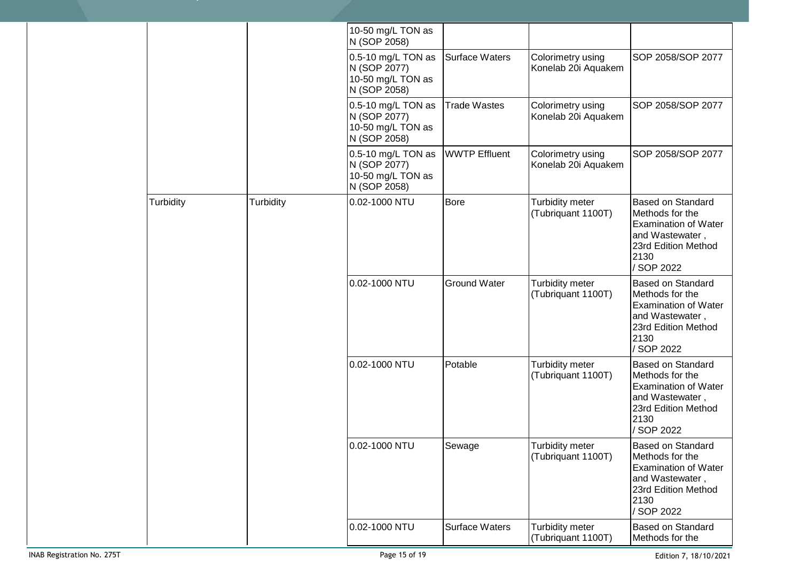|           |           | 10-50 mg/L TON as<br>N (SOP 2058)                                       |                       |                                          |                                                                                                                                            |
|-----------|-----------|-------------------------------------------------------------------------|-----------------------|------------------------------------------|--------------------------------------------------------------------------------------------------------------------------------------------|
|           |           | 0.5-10 mg/L TON as<br>N (SOP 2077)<br>10-50 mg/L TON as<br>N (SOP 2058) | Surface Waters        | Colorimetry using<br>Konelab 20i Aquakem | SOP 2058/SOP 2077                                                                                                                          |
|           |           | 0.5-10 mg/L TON as<br>N (SOP 2077)<br>10-50 mg/L TON as<br>N (SOP 2058) | <b>Trade Wastes</b>   | Colorimetry using<br>Konelab 20i Aquakem | SOP 2058/SOP 2077                                                                                                                          |
|           |           | 0.5-10 mg/L TON as<br>N (SOP 2077)<br>10-50 mg/L TON as<br>N (SOP 2058) | <b>WWTP Effluent</b>  | Colorimetry using<br>Konelab 20i Aquakem | SOP 2058/SOP 2077                                                                                                                          |
| Turbidity | Turbidity | 0.02-1000 NTU                                                           | <b>Bore</b>           | Turbidity meter<br>(Tubriquant 1100T)    | <b>Based on Standard</b><br>Methods for the<br><b>Examination of Water</b><br>and Wastewater,<br>23rd Edition Method<br>2130<br>/ SOP 2022 |
|           |           | 0.02-1000 NTU                                                           | <b>Ground Water</b>   | Turbidity meter<br>(Tubriquant 1100T)    | <b>Based on Standard</b><br>Methods for the<br><b>Examination of Water</b><br>and Wastewater,<br>23rd Edition Method<br>2130<br>/ SOP 2022 |
|           |           | 0.02-1000 NTU                                                           | Potable               | Turbidity meter<br>(Tubriquant 1100T)    | <b>Based on Standard</b><br>Methods for the<br><b>Examination of Water</b><br>and Wastewater,<br>23rd Edition Method<br>2130<br>/ SOP 2022 |
|           |           | 0.02-1000 NTU                                                           | Sewage                | Turbidity meter<br>(Tubriquant 1100T)    | <b>Based on Standard</b><br>Methods for the<br><b>Examination of Water</b><br>and Wastewater,<br>23rd Edition Method<br>2130<br>/ SOP 2022 |
|           |           | 0.02-1000 NTU                                                           | <b>Surface Waters</b> | Turbidity meter<br>(Tubriquant 1100T)    | <b>Based on Standard</b><br>Methods for the                                                                                                |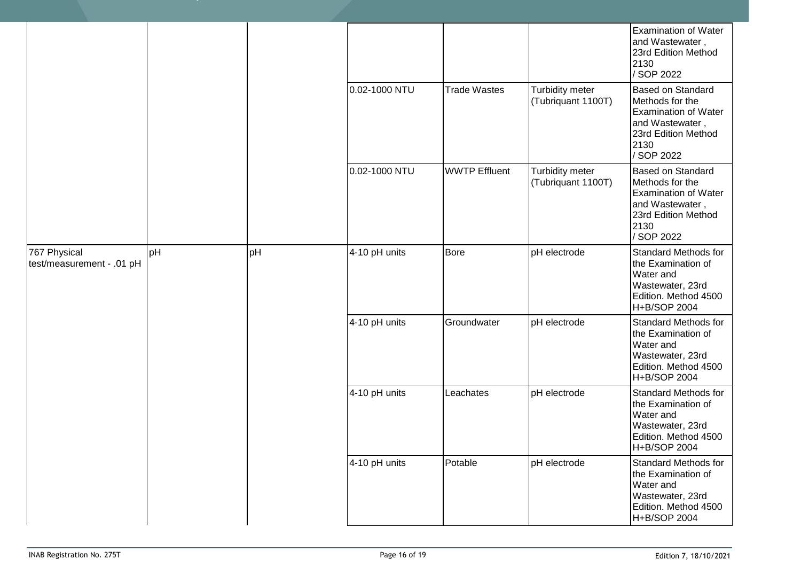|                                           |    |    |               |                      |                                       | <b>Examination of Water</b><br>and Wastewater,<br>23rd Edition Method<br>2130<br>/ SOP 2022                                                |
|-------------------------------------------|----|----|---------------|----------------------|---------------------------------------|--------------------------------------------------------------------------------------------------------------------------------------------|
|                                           |    |    | 0.02-1000 NTU | <b>Trade Wastes</b>  | Turbidity meter<br>(Tubriquant 1100T) | <b>Based on Standard</b><br>Methods for the<br><b>Examination of Water</b><br>and Wastewater,<br>23rd Edition Method<br>2130<br>/ SOP 2022 |
|                                           |    |    | 0.02-1000 NTU | <b>WWTP Effluent</b> | Turbidity meter<br>(Tubriquant 1100T) | <b>Based on Standard</b><br>Methods for the<br><b>Examination of Water</b><br>and Wastewater,<br>23rd Edition Method<br>2130<br>/ SOP 2022 |
| 767 Physical<br>test/measurement - .01 pH | pH | pH | 4-10 pH units | <b>Bore</b>          | pH electrode                          | Standard Methods for<br>the Examination of<br>Water and<br>Wastewater, 23rd<br>Edition. Method 4500<br>H+B/SOP 2004                        |
|                                           |    |    | 4-10 pH units | Groundwater          | pH electrode                          | Standard Methods for<br>the Examination of<br>Water and<br>Wastewater, 23rd<br>Edition. Method 4500<br>H+B/SOP 2004                        |
|                                           |    |    | 4-10 pH units | Leachates            | pH electrode                          | <b>Standard Methods for</b><br>the Examination of<br>Water and<br>Wastewater, 23rd<br>Edition. Method 4500<br> H+B/SOP 2004                |
|                                           |    |    | 4-10 pH units | Potable              | pH electrode                          | <b>Standard Methods for</b><br>the Examination of<br>Water and<br>Wastewater, 23rd<br>Edition. Method 4500<br>H+B/SOP 2004                 |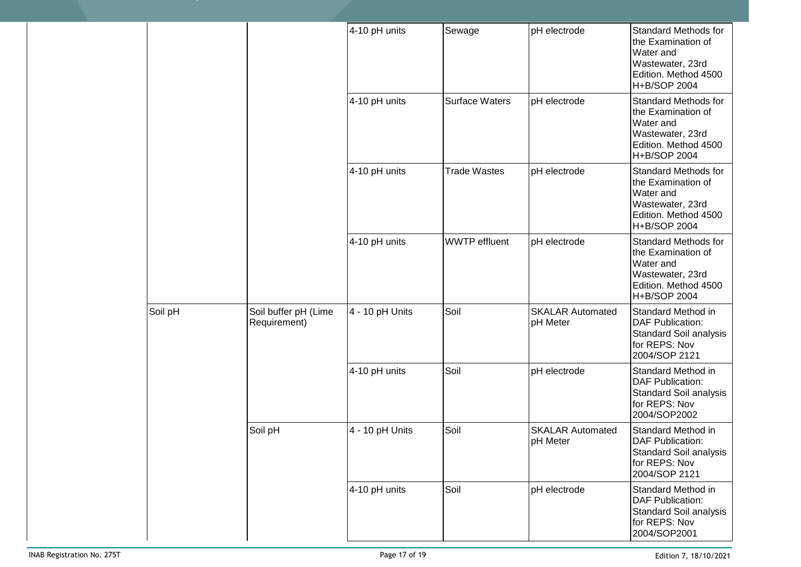|  |         |                                      | 4-10 pH units   | Sewage                | pH electrode                        | Standard Methods for<br>the Examination of<br>Water and<br>Wastewater, 23rd<br>Edition. Method 4500<br>H+B/SOP 2004        |
|--|---------|--------------------------------------|-----------------|-----------------------|-------------------------------------|----------------------------------------------------------------------------------------------------------------------------|
|  |         |                                      | 4-10 pH units   | <b>Surface Waters</b> | pH electrode                        | Standard Methods for<br>the Examination of<br>Water and<br>Wastewater, 23rd<br>Edition. Method 4500<br>H+B/SOP 2004        |
|  |         |                                      | 4-10 pH units   | <b>Trade Wastes</b>   | pH electrode                        | <b>Standard Methods for</b><br>the Examination of<br>Water and<br>Wastewater, 23rd<br>Edition. Method 4500<br>H+B/SOP 2004 |
|  |         |                                      | 4-10 pH units   | <b>WWTP</b> effluent  | pH electrode                        | Standard Methods for<br>the Examination of<br>Water and<br>Wastewater, 23rd<br>Edition. Method 4500<br>H+B/SOP 2004        |
|  | Soil pH | Soil buffer pH (Lime<br>Requirement) | 4 - 10 pH Units | Soil                  | <b>SKALAR Automated</b><br>pH Meter | Standard Method in<br><b>DAF Publication:</b><br>Standard Soil analysis<br>for REPS: Nov<br>2004/SOP 2121                  |
|  |         |                                      | 4-10 pH units   | Soil                  | pH electrode                        | Standard Method in<br><b>DAF Publication:</b><br>Standard Soil analysis<br>for REPS: Nov<br>2004/SOP2002                   |
|  |         | Soil pH                              | 4 - 10 pH Units | Soil                  | <b>SKALAR Automated</b><br>pH Meter | Standard Method in<br><b>DAF Publication:</b><br><b>Standard Soil analysis</b><br>for REPS: Nov<br>2004/SOP 2121           |
|  |         |                                      | 4-10 pH units   | Soil                  | pH electrode                        | Standard Method in<br><b>DAF Publication:</b><br>Standard Soil analysis<br>for REPS: Nov<br>2004/SOP2001                   |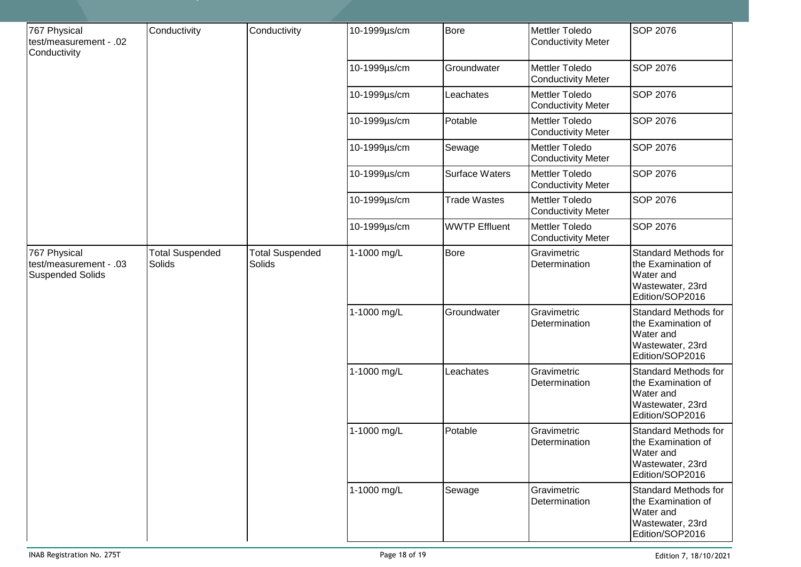| 767 Physical<br>test/measurement - .02<br>Conductivity            | Conductivity                     | Conductivity                     | 10-1999µs/cm | <b>Bore</b>           | <b>Mettler Toledo</b><br><b>Conductivity Meter</b> | SOP 2076                                                                                              |
|-------------------------------------------------------------------|----------------------------------|----------------------------------|--------------|-----------------------|----------------------------------------------------|-------------------------------------------------------------------------------------------------------|
|                                                                   |                                  |                                  | 10-1999µs/cm | Groundwater           | <b>Mettler Toledo</b><br><b>Conductivity Meter</b> | SOP 2076                                                                                              |
|                                                                   |                                  |                                  | 10-1999µs/cm | Leachates             | Mettler Toledo<br><b>Conductivity Meter</b>        | SOP 2076                                                                                              |
|                                                                   |                                  |                                  | 10-1999µs/cm | Potable               | Mettler Toledo<br><b>Conductivity Meter</b>        | SOP 2076                                                                                              |
|                                                                   |                                  |                                  | 10-1999µs/cm | Sewage                | <b>Mettler Toledo</b><br><b>Conductivity Meter</b> | SOP 2076                                                                                              |
|                                                                   |                                  |                                  | 10-1999µs/cm | <b>Surface Waters</b> | Mettler Toledo<br><b>Conductivity Meter</b>        | SOP 2076                                                                                              |
|                                                                   |                                  |                                  | 10-1999µs/cm | <b>Trade Wastes</b>   | <b>Mettler Toledo</b><br><b>Conductivity Meter</b> | SOP 2076                                                                                              |
|                                                                   |                                  |                                  | 10-1999µs/cm | <b>WWTP Effluent</b>  | <b>Mettler Toledo</b><br><b>Conductivity Meter</b> | SOP 2076                                                                                              |
| 767 Physical<br>test/measurement - .03<br><b>Suspended Solids</b> | <b>Total Suspended</b><br>Solids | <b>Total Suspended</b><br>Solids | 1-1000 mg/L  | <b>Bore</b>           | Gravimetric<br>Determination                       | <b>Standard Methods for</b><br>the Examination of<br>Water and<br>Wastewater, 23rd<br>Edition/SOP2016 |
|                                                                   |                                  |                                  | 1-1000 mg/L  | Groundwater           | Gravimetric<br>Determination                       | <b>Standard Methods for</b><br>the Examination of<br>Water and<br>Wastewater, 23rd<br>Edition/SOP2016 |
|                                                                   |                                  |                                  | 1-1000 mg/L  | Leachates             | Gravimetric<br>Determination                       | <b>Standard Methods for</b><br>the Examination of<br>Water and<br>Wastewater, 23rd<br>Edition/SOP2016 |
|                                                                   |                                  |                                  | 1-1000 mg/L  | Potable               | Gravimetric<br>Determination                       | <b>Standard Methods for</b><br>the Examination of<br>Water and<br>Wastewater, 23rd<br>Edition/SOP2016 |
|                                                                   |                                  |                                  | 1-1000 mg/L  | Sewage                | Gravimetric<br>Determination                       | <b>Standard Methods for</b><br>the Examination of<br>Water and<br>Wastewater, 23rd<br>Edition/SOP2016 |